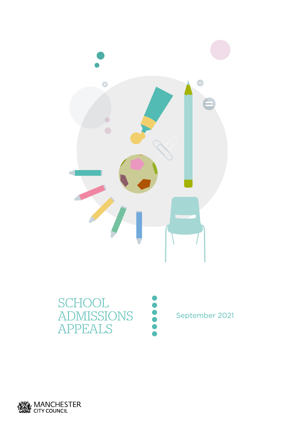



September 2021

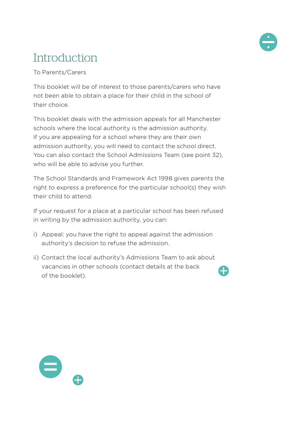

#### **Introduction**

To Parents/Carers

This booklet will be of interest to those parents/carers who have not been able to obtain a place for their child in the school of their choice.

This booklet deals with the admission appeals for all Manchester schools where the local authority is the admission authority. If you are appealing for a school where they are their own admission authority, you will need to contact the school direct. You can also contact the School Admissions Team (see point 32), who will be able to advise you further.

The School Standards and Framework Act 1998 gives parents the right to express a preference for the particular school(s) they wish their child to attend.

If your request for a place at a particular school has been refused in writing by the admission authority, you can:

- i) Appeal: you have the right to appeal against the admission authority's decision to refuse the admission.
- ii) Contact the local authority's Admissions Team to ask about vacancies in other schools (contact details at the back of the booklet).

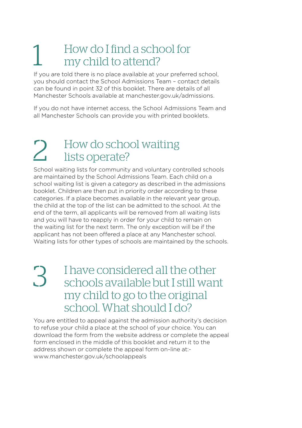#### 1 How do I find a school for my child to attend?

If you are told there is no place available at your preferred school, you should contact the School Admissions Team – contact details can be found in point 32 of this booklet. There are details of all Manchester Schools available at manchester.gov.uk/admissions.

If you do not have internet access, the School Admissions Team and all Manchester Schools can provide you with printed booklets.

#### 2. How do school waiting lists operate?

School waiting lists for community and voluntary controlled schools are maintained by the School Admissions Team. Each child on a school waiting list is given a category as described in the admissions booklet. Children are then put in priority order according to these categories. If a place becomes available in the relevant year group, the child at the top of the list can be admitted to the school. At the end of the term, all applicants will be removed from all waiting lists and you will have to reapply in order for your child to remain on the waiting list for the next term. The only exception will be if the applicant has not been offered a place at any Manchester school. Waiting lists for other types of schools are maintained by the schools.

3 I have considered all the other schools available but I still want my child to go to the original school. What should I do?

You are entitled to appeal against the admission authority's decision to refuse your child a place at the school of your choice. You can download the form from the website address or complete the appeal form enclosed in the middle of this booklet and return it to the address shown or complete the appeal form on-line at: www.manchester.gov.uk/schoolappeals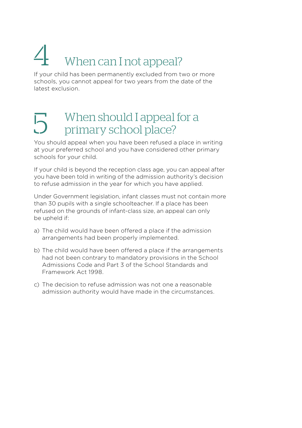#### $4$  When can I not appeal?

If your child has been permanently excluded from two or more schools, you cannot appeal for two years from the date of the latest exclusion.

#### $\overline{5}$  When should I appeal for a primary school place?

You should appeal when you have been refused a place in writing at your preferred school and you have considered other primary schools for your child.

If your child is beyond the reception class age, you can appeal after you have been told in writing of the admission authority's decision to refuse admission in the year for which you have applied.

Under Government legislation, infant classes must not contain more than 30 pupils with a single schoolteacher. If a place has been refused on the grounds of infant-class size, an appeal can only be upheld if:

- a) The child would have been offered a place if the admission arrangements had been properly implemented.
- b) The child would have been offered a place if the arrangements had not been contrary to mandatory provisions in the School Admissions Code and Part 3 of the School Standards and Framework Act 1998.
- c) The decision to refuse admission was not one a reasonable admission authority would have made in the circumstances.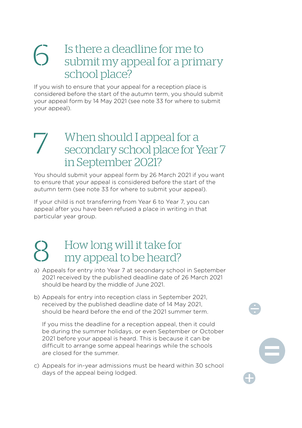#### 6 Is there a deadline for me to submit my appeal for a primary school place?

If you wish to ensure that your appeal for a reception place is considered before the start of the autumn term, you should submit your appeal form by 14 May 2021 (see note 33 for where to submit your appeal).

#### When should I appeal for a secondary school place for Year 7 in September 2021?

You should submit your appeal form by 26 March 2021 if you want to ensure that your appeal is considered before the start of the autumn term (see note 33 for where to submit your appeal).

If your child is not transferring from Year 6 to Year 7, you can appeal after you have been refused a place in writing in that particular year group.

## 8 How long will it take for my appeal to be heard?

- a) Appeals for entry into Year 7 at secondary school in September 2021 received by the published deadline date of 26 March 2021 should be heard by the middle of June 2021.
- b) Appeals for entry into reception class in September 2021, received by the published deadline date of 14 May 2021, should be heard before the end of the 2021 summer term.

If you miss the deadline for a reception appeal, then it could be during the summer holidays, or even September or October 2021 before your appeal is heard. This is because it can be difficult to arrange some appeal hearings while the schools are closed for the summer.

c) Appeals for in-year admissions must be heard within 30 school days of the appeal being lodged.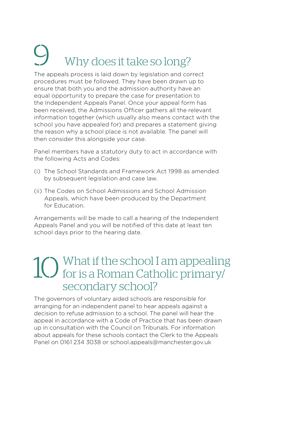#### Why does it take so long?

The appeals process is laid down by legislation and correct procedures must be followed. They have been drawn up to ensure that both you and the admission authority have an equal opportunity to prepare the case for presentation to the Independent Appeals Panel. Once your appeal form has been received, the Admissions Officer gathers all the relevant information together (which usually also means contact with the school you have appealed for) and prepares a statement giving the reason why a school place is not available. The panel will then consider this alongside your case.

Panel members have a statutory duty to act in accordance with the following Acts and Codes:

- (i) The School Standards and Framework Act 1998 as amended by subsequent legislation and case law.
- (ii) The Codes on School Admissions and School Admission Appeals, which have been produced by the Department for Education.

Arrangements will be made to call a hearing of the Independent Appeals Panel and you will be notified of this date at least ten school days prior to the hearing date.

#### 10 What if the school I am appealing<br>for is a Roman Catholic primary/ secondary school?

The governors of voluntary aided schools are responsible for arranging for an independent panel to hear appeals against a decision to refuse admission to a school. The panel will hear the appeal in accordance with a Code of Practice that has been drawn up in consultation with the Council on Tribunals. For information about appeals for these schools contact the Clerk to the Appeals Panel on 0161 234 3038 or school.appeals@manchester.gov.uk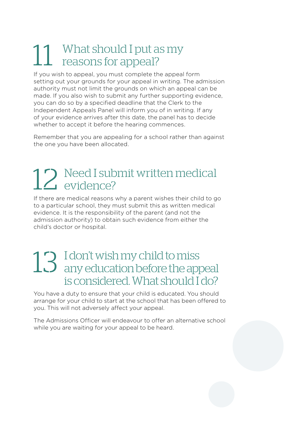## 11 What should I put as my reasons for appeal?

If you wish to appeal, you must complete the appeal form setting out your grounds for your appeal in writing. The admission authority must not limit the grounds on which an appeal can be made. If you also wish to submit any further supporting evidence, you can do so by a specified deadline that the Clerk to the Independent Appeals Panel will inform you of in writing. If any of your evidence arrives after this date, the panel has to decide whether to accept it before the hearing commences.

Remember that you are appealing for a school rather than against the one you have been allocated.

## 12 Need I submit written medical evidence?

If there are medical reasons why a parent wishes their child to go to a particular school, they must submit this as written medical evidence. It is the responsibility of the parent (and not the admission authority) to obtain such evidence from either the child's doctor or hospital.

#### 13 I don't wish my child to miss any education before the appeal is considered. What should I do?

You have a duty to ensure that your child is educated. You should arrange for your child to start at the school that has been offered to you. This will not adversely affect your appeal.

The Admissions Officer will endeavour to offer an alternative school while you are waiting for your appeal to be heard.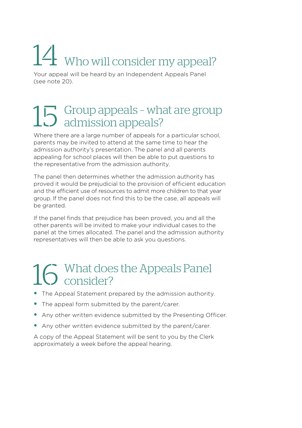## 14 Who will consider my appeal?

Your appeal will be heard by an Independent Appeals Panel (see note 20).

## $15$  Group appeals - what are group<br> $15$  admission appeals?

Where there are a large number of appeals for a particular school, parents may be invited to attend at the same time to hear the admission authority's presentation. The panel and all parents appealing for school places will then be able to put questions to the representative from the admission authority.

The panel then determines whether the admission authority has proved it would be prejudicial to the provision of efficient education and the efficient use of resources to admit more children to that year group. If the panel does not find this to be the case, all appeals will be granted.

If the panel finds that prejudice has been proved, you and all the other parents will be invited to make your individual cases to the panel at the times allocated. The panel and the admission authority representatives will then be able to ask you questions.

## $16$  What does the Appeals Panel

- The Appeal Statement prepared by the admission authority.
- The appeal form submitted by the parent/carer.
- Any other written evidence submitted by the Presenting Officer.
- Any other written evidence submitted by the parent/carer.

A copy of the Appeal Statement will be sent to you by the Clerk approximately a week before the appeal hearing.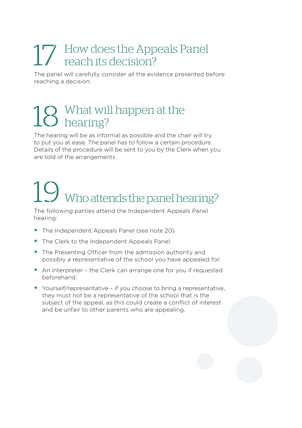#### 17 How does the Appeals Panel reach its decision?

The panel will carefully consider all the evidence presented before reaching a decision.

## $18$  What will happen at the hearing?

The hearing will be as informal as possible and the chair will try to put you at ease. The panel has to follow a certain procedure. Details of the procedure will be sent to you by the Clerk when you are told of the arrangements.

# 19 Who attends the panel hearing?

The following parties attend the Independent Appeals Panel hearing:

- The Independent Appeals Panel (see note 20).
- The Clerk to the Independent Appeals Panel.
- The Presenting Officer from the admission authority and possibly a representative of the school you have appealed for.
- An interpreter the Clerk can arrange one for you if requested beforehand.
- Yourself/representative if you choose to bring a representative, they must not be a representative of the school that is the subject of the appeal, as this could create a conflict of interest and be unfair to other parents who are appealing.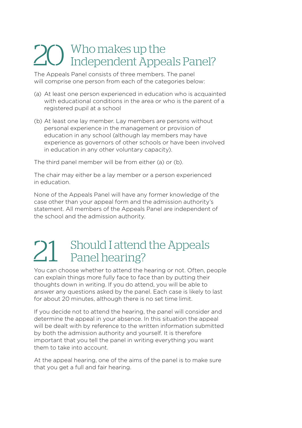## 20 Who makes up the<br>Independent Appeals Panel?

The Appeals Panel consists of three members. The panel will comprise one person from each of the categories below:

- (a) At least one person experienced in education who is acquainted with educational conditions in the area or who is the parent of a registered pupil at a school
- (b) At least one lay member. Lay members are persons without personal experience in the management or provision of education in any school (although lay members may have experience as governors of other schools or have been involved in education in any other voluntary capacity).

The third panel member will be from either (a) or (b).

The chair may either be a lay member or a person experienced in education.

None of the Appeals Panel will have any former knowledge of the case other than your appeal form and the admission authority's statement. All members of the Appeals Panel are independent of the school and the admission authority.

## 21 Should I attend the Appeals Panel hearing?

You can choose whether to attend the hearing or not. Often, people can explain things more fully face to face than by putting their thoughts down in writing. If you do attend, you will be able to answer any questions asked by the panel. Each case is likely to last for about 20 minutes, although there is no set time limit.

If you decide not to attend the hearing, the panel will consider and determine the appeal in your absence. In this situation the appeal will be dealt with by reference to the written information submitted by both the admission authority and yourself. It is therefore important that you tell the panel in writing everything you want them to take into account.

At the appeal hearing, one of the aims of the panel is to make sure that you get a full and fair hearing.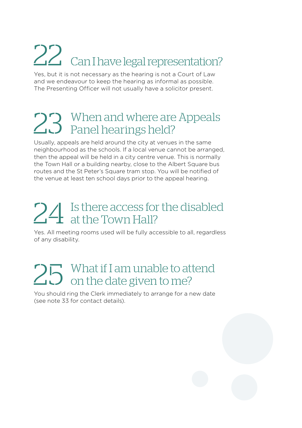## 22 Can I have legal representation?

Yes, but it is not necessary as the hearing is not a Court of Law and we endeavour to keep the hearing as informal as possible. The Presenting Officer will not usually have a solicitor present.

## 23 When and where are Appeals Panel hearings held?

Usually, appeals are held around the city at venues in the same neighbourhood as the schools. If a local venue cannot be arranged, then the appeal will be held in a city centre venue. This is normally the Town Hall or a building nearby, close to the Albert Square bus routes and the St Peter's Square tram stop. You will be notified of the venue at least ten school days prior to the appeal hearing.

## 24 Is there access for the disabled<br>at the Town Hall?

Yes. All meeting rooms used will be fully accessible to all, regardless of any disability.

## 25 What if I am unable to attend<br>25 on the date given to me?

You should ring the Clerk immediately to arrange for a new date (see note 33 for contact details).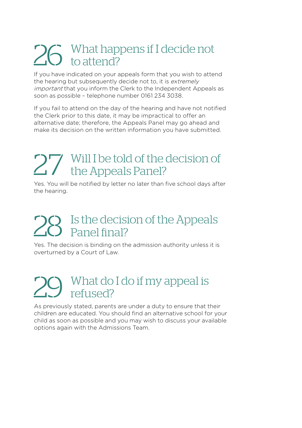## 26 What happens if I decide not

If you have indicated on your appeals form that you wish to attend the hearing but subsequently decide not to, it is extremely important that you inform the Clerk to the Independent Appeals as soon as possible – telephone number 0161 234 3038.

If you fail to attend on the day of the hearing and have not notified the Clerk prior to this date, it may be impractical to offer an alternative date; therefore, the Appeals Panel may go ahead and make its decision on the written information you have submitted.

## 27 Will I be told of the decision of the Appeals Panel?

Yes. You will be notified by letter no later than five school days after the hearing.

#### Is the decision of the Appeals Panel final?

Yes. The decision is binding on the admission authority unless it is overturned by a Court of Law.

#### What do I do if my appeal is refused?

As previously stated, parents are under a duty to ensure that their children are educated. You should find an alternative school for your child as soon as possible and you may wish to discuss your available options again with the Admissions Team.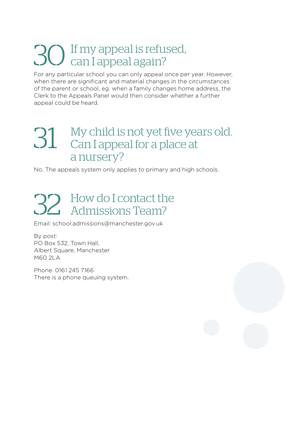## 30If my appeal is refused, can I appeal again?

For any particular school you can only appeal once per year. However, when there are significant and material changes in the circumstances of the parent or school, eg. when a family changes home address, the Clerk to the Appeals Panel would then consider whether a further appeal could be heard.

#### 31 My child is not yet five years old. Can I appeal for a place at a nursery?

No. The appeals system only applies to primary and high schools.

## 32 How do I contact the Admissions Team?

Email: school.admissions@manchester.gov.uk

By post: PO Box 532, Town Hall, Albert Square, Manchester M60 2LA

Phone: 0161 245 7166 There is a phone queuing system.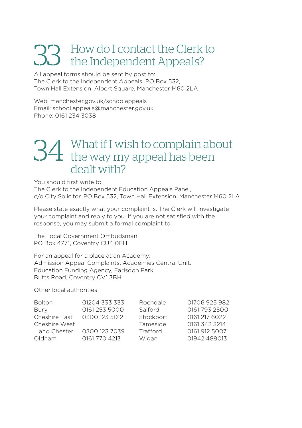## 33 How do I contact the Clerk to the Independent Appeals?

All appeal forms should be sent by post to: The Clerk to the Independent Appeals, PO Box 532, Town Hall Extension, Albert Square, Manchester M60 2LA

Web: manchester.gov.uk/schoolappeals Email: school.appeals@manchester.gov.uk Phone: 0161 234 3038

#### 34 What if I wish to complain about the way my appeal has been dealt with?

You should first write to:

The Clerk to the Independent Education Appeals Panel, c/o City Solicitor, PO Box 532, Town Hall Extension, Manchester M60 2LA

Please state exactly what your complaint is. The Clerk will investigate your complaint and reply to you. If you are not satisfied with the response, you may submit a formal complaint to:

The Local Government Ombudsman, PO Box 4771, Coventry CU4 0EH

For an appeal for a place at an Academy: Admission Appeal Complaints, Academies Central Unit, Education Funding Agency, Earlsdon Park, Butts Road, Coventry CV1 3BH

Other local authorities

| <b>Bolton</b> | 01204 333 333 | Rochdale  | 01706 925 982 |
|---------------|---------------|-----------|---------------|
| Bury          | 0161 253 5000 | Salford   | 0161 793 2500 |
| Cheshire East | 0300 123 5012 | Stockport | 0161 217 6022 |
| Cheshire West |               | Tameside  | 0161 342 3214 |
| and Chester   | 0300 123 7039 | Trafford  | 0161 912 5007 |
| Oldham        | 0161 770 4213 | Wigan     | 01942 489013  |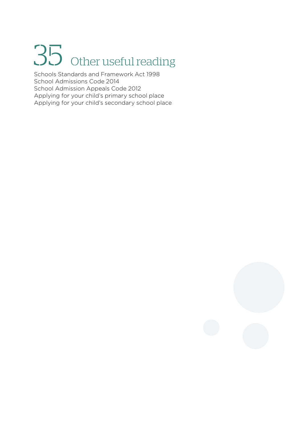# 35 Other useful reading

Schools Standards and Framework Act 1998 School Admissions Code 2014 School Admission Appeals Code 2012 Applying for your child's primary school place Applying for your child's secondary school place